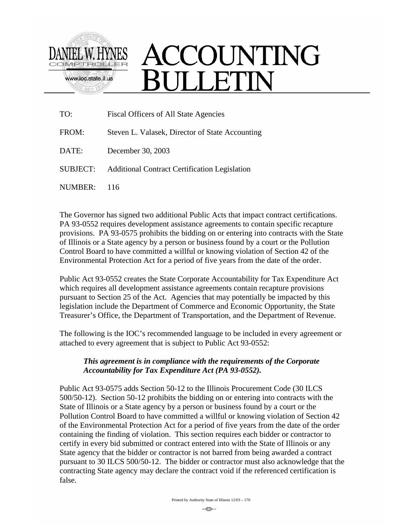

## ACCOUNTING **SULLETIN**

| TO:      | Fiscal Officers of All State Agencies                |
|----------|------------------------------------------------------|
| FROM:    | Steven L. Valasek, Director of State Accounting      |
| DATE:    | December 30, 2003                                    |
| SUBJECT: | <b>Additional Contract Certification Legislation</b> |
| NUMBER:  | 116                                                  |

The Governor has signed two additional Public Acts that impact contract certifications. PA 93-0552 requires development assistance agreements to contain specific recapture provisions. PA 93-0575 prohibits the bidding on or entering into contracts with the State of Illinois or a State agency by a person or business found by a court or the Pollution Control Board to have committed a willful or knowing violation of Section 42 of the Environmental Protection Act for a period of five years from the date of the order.

Public Act 93-0552 creates the State Corporate Accountability for Tax Expenditure Act which requires all development assistance agreements contain recapture provisions pursuant to Section 25 of the Act. Agencies that may potentially be impacted by this legislation include the Department of Commerce and Economic Opportunity, the State Treasurer's Office, the Department of Transportation, and the Department of Revenue.

The following is the IOC's recommended language to be included in every agreement or attached to every agreement that is subject to Public Act 93-0552:

## *This agreement is in compliance with the requirements of the Corporate Accountability for Tax Expenditure Act (PA 93-0552).*

Public Act 93-0575 adds Section 50-12 to the Illinois Procurement Code (30 ILCS 500/50-12). Section 50-12 prohibits the bidding on or entering into contracts with the State of Illinois or a State agency by a person or business found by a court or the Pollution Control Board to have committed a willful or knowing violation of Section 42 of the Environmental Protection Act for a period of five years from the date of the order containing the finding of violation. This section requires each bidder or contractor to certify in every bid submitted or contract entered into with the State of Illinois or any State agency that the bidder or contractor is not barred from being awarded a contract pursuant to 30 ILCS 500/50-12. The bidder or contractor must also acknowledge that the contracting State agency may declare the contract void if the referenced certification is false.